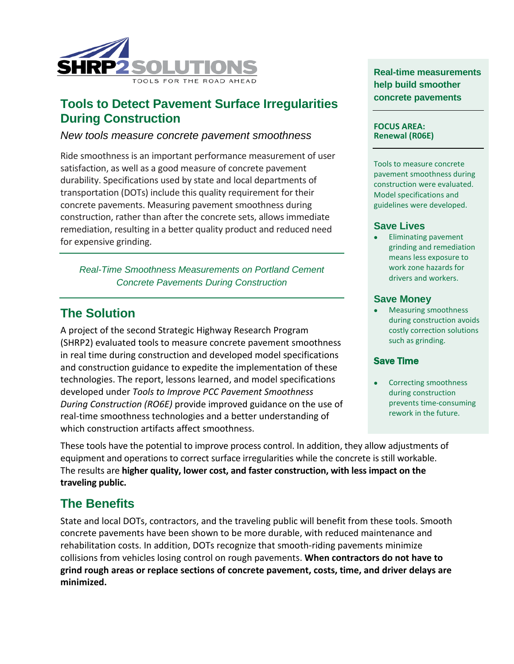

## **Tools to Detect Pavement Surface Irregularities During Construction**

## *New tools measure concrete pavement smoothness*

Ride smoothness is an important performance measurement of user satisfaction, as well as a good measure of concrete pavement durability. Specifications used by state and local departments of transportation (DOTs) include this quality requirement for their concrete pavements. Measuring pavement smoothness during construction, rather than after the concrete sets, allows immediate remediation, resulting in a better quality product and reduced need for expensive grinding.

*Real-Time Smoothness Measurements on Portland Cement Concrete Pavements During Construction*

## **The Solution**

A project of the second Strategic Highway Research Program (SHRP2) evaluated tools to measure concrete pavement smoothness in real time during construction and developed model specifications and construction guidance to expedite the implementation of these technologies. The report, lessons learned, and model specifications developed under *Tools to Improve PCC Pavement Smoothness During Construction (RO6E)* provide improved guidance on the use of real-time smoothness technologies and a better understanding of which construction artifacts affect smoothness.

**Real-time measurements help build smoother concrete pavements**

#### **FOCUS AREA: Renewal (R06E)**

Tools to measure concrete pavement smoothness during construction were evaluated. Model specifications and guidelines were developed.

### **Save Lives**

• Eliminating pavement grinding and remediation means less exposure to work zone hazards for drivers and workers.

### **Save Money**

• Measuring smoothness during construction avoids costly correction solutions such as grinding.

### Save Time

Correcting smoothness during construction prevents time-consuming rework in the future.

These tools have the potential to improve process control. In addition, they allow adjustments of equipment and operations to correct surface irregularities while the concrete is still workable. The results are **higher quality, lower cost, and faster construction, with less impact on the traveling public.**

# **The Benefits**

State and local DOTs, contractors, and the traveling public will benefit from these tools. Smooth concrete pavements have been shown to be more durable, with reduced maintenance and rehabilitation costs. In addition, DOTs recognize that smooth-riding pavements minimize collisions from vehicles losing control on rough pavements. **When contractors do not have to grind rough areas or replace sections of concrete pavement, costs, time, and driver delays are minimized.**